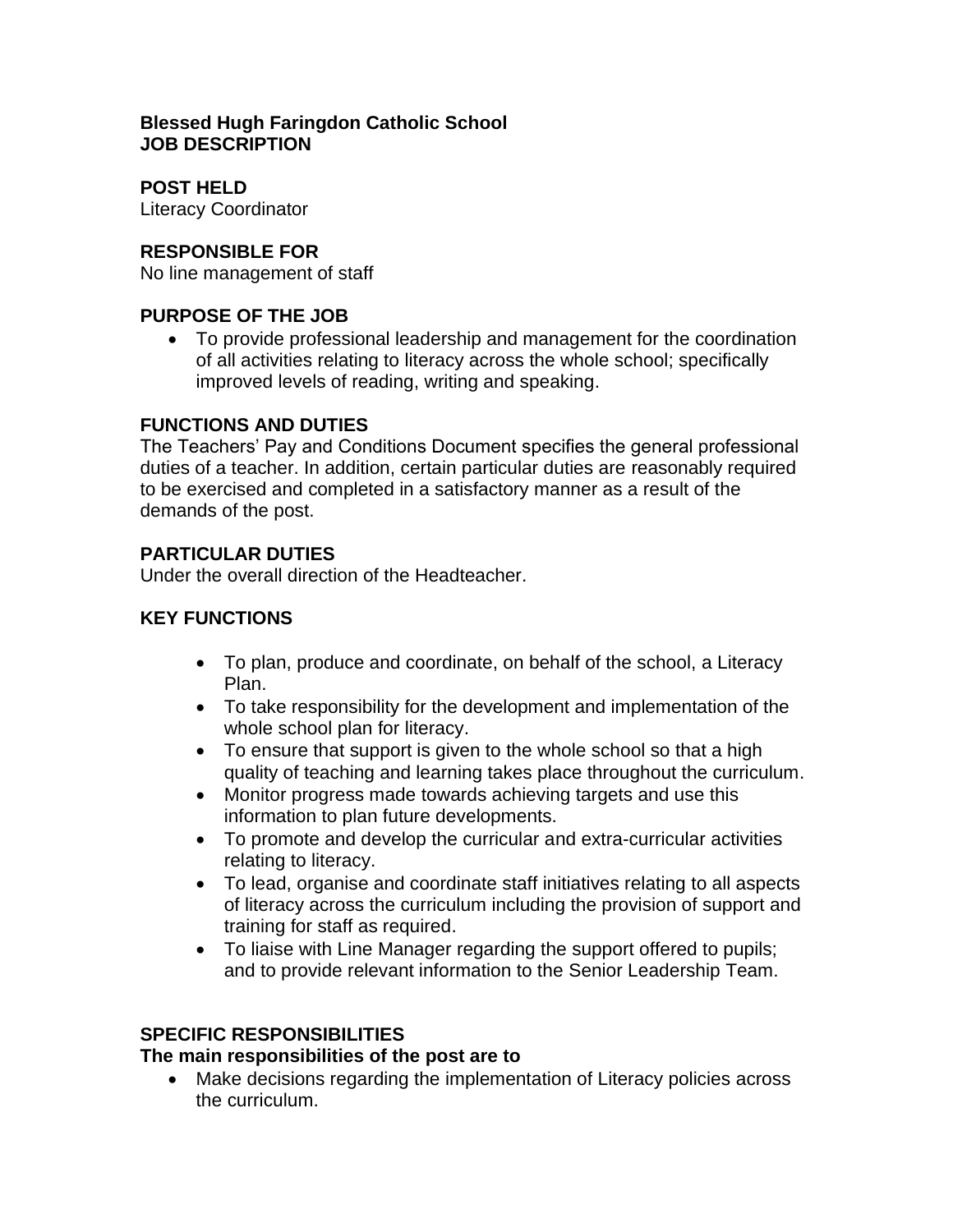#### **Blessed Hugh Faringdon Catholic School JOB DESCRIPTION**

**POST HELD** Literacy Coordinator

## **RESPONSIBLE FOR**

No line management of staff

## **PURPOSE OF THE JOB**

• To provide professional leadership and management for the coordination of all activities relating to literacy across the whole school; specifically improved levels of reading, writing and speaking.

#### **FUNCTIONS AND DUTIES**

The Teachers' Pay and Conditions Document specifies the general professional duties of a teacher. In addition, certain particular duties are reasonably required to be exercised and completed in a satisfactory manner as a result of the demands of the post.

## **PARTICULAR DUTIES**

Under the overall direction of the Headteacher.

## **KEY FUNCTIONS**

- To plan, produce and coordinate, on behalf of the school, a Literacy Plan.
- To take responsibility for the development and implementation of the whole school plan for literacy.
- To ensure that support is given to the whole school so that a high quality of teaching and learning takes place throughout the curriculum.
- Monitor progress made towards achieving targets and use this information to plan future developments.
- To promote and develop the curricular and extra-curricular activities relating to literacy.
- To lead, organise and coordinate staff initiatives relating to all aspects of literacy across the curriculum including the provision of support and training for staff as required.
- To liaise with Line Manager regarding the support offered to pupils; and to provide relevant information to the Senior Leadership Team.

## **SPECIFIC RESPONSIBILITIES**

#### **The main responsibilities of the post are to**

• Make decisions regarding the implementation of Literacy policies across the curriculum.